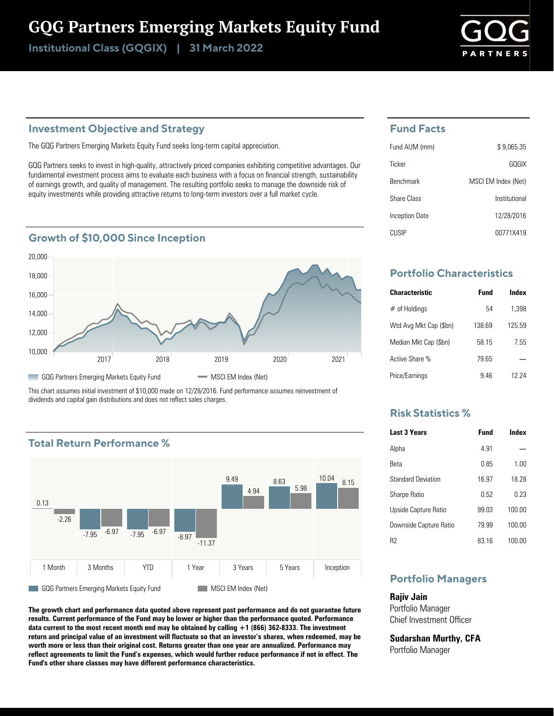# GQG Partners Emerging Markets Equity Fund

Institutional Class (GQGIX) | 31 March 2022

## **Investment Objective and Strategy**

The GQG Partners Emerging Markets Equity Fund seeks long-term capital appreciation.

GQG Partners seeks to invest in high-quality, attractively priced companies exhibiting competitive advantages. Our fundamental investment process aims to evaluate each business with a focus on financial strength, sustainability of earnings growth, and quality of management. The resulting portfolio seeks to manage the downside risk of equity investments while providing attractive returns to long-term investors over a full market cycle.

### **Growth of \$10,000 Since Inception**



This chart assumes initial investment of \$10,000 made on 12/28/2016. Fund performance assumes reinvestment of dividends and capital gain distributions and does not reflect sales charges.

# **Total Return Performance %**



**The growth chart and performance data quoted above represent past performance and do not guarantee future results. Current performance of the Fund may be lower or higher than the performance quoted. Performance data current to the most recent month end may be obtained by calling +1 (866) 362-8333. The investment return and principal value of an investment will fluctuate so that an investor's shares, when redeemed, may be worth more or less than their original cost. Returns greater than one year are annualized. Performance may reflect agreements to limit the Fund's expenses, which would further reduce performance if not in effect. The Fund's other share classes may have different performance characteristics.**

### **Fund Facts**

| Fund AUM (mm)    | \$9.065.35          |
|------------------|---------------------|
| Ticker           | GOGIX               |
| <b>Benchmark</b> | MSCI EM Index (Net) |
| Share Class      | Institutional       |
| Inception Date   | 12/28/2016          |
| CUSIP            | 00771X419           |

# **Portfolio Characteristics**

| <b>Characteristic</b>  | Fund   | Index  |
|------------------------|--------|--------|
| $#$ of Holdings        | 54     | 1.398  |
| Wtd Avg Mkt Cap (\$bn) | 138.69 | 125 59 |
| Median Mkt Cap (\$bn)  | 58 15  | 7.55   |
| Active Share %         | 79 65  |        |
| Price/Earnings         | 946    | 12 24  |

## **Risk Statistics %**

| <b>Last 3 Years</b>       | <b>Fund</b> | Index  |
|---------------------------|-------------|--------|
| Alpha                     | 4 91        |        |
| Reta                      | 0.85        | 1.00   |
| <b>Standard Deviation</b> | 16.97       | 18 28  |
| <b>Sharpe Ratio</b>       | 0.52        | በ 23   |
| Upside Capture Ratio      | 99 03       | 100.00 |
| Downside Capture Ratio    | 79 99       | 100.00 |
| R2                        | 83 16       | 100.00 |

# **Portfolio Managers**

**Rajiv Jain** Portfolio Manager Chief Investment Officer

**Sudarshan Murthy, CFA** Portfolio Manager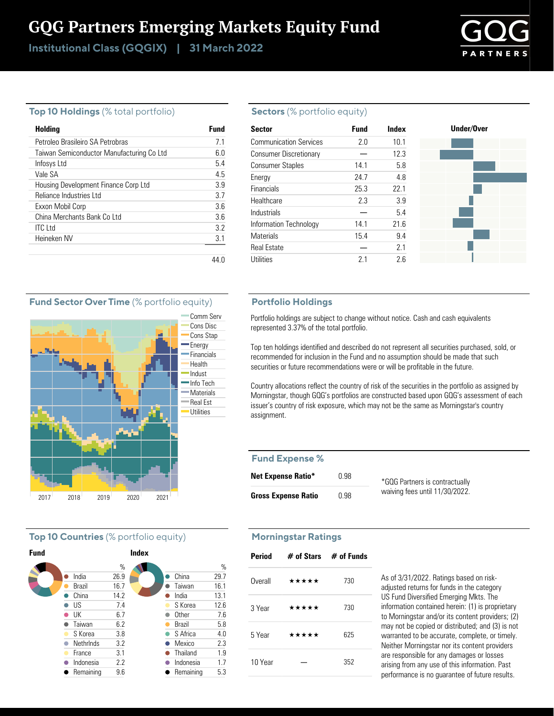# GQG Partners Emerging Markets Equity Fund

Institutional Class (GQGIX) | 31 March 2022



#### **Top 10 Holdings** (% total portfolio)

| Holding                                   | Fund |
|-------------------------------------------|------|
| Petroleo Brasileiro SA Petrobras          | 71   |
| Taiwan Semiconductor Manufacturing Co Ltd | 60   |
| Infosys Ltd                               | 5.4  |
| Vale SA                                   | 45   |
| Housing Development Finance Corp Ltd      | 39   |
| Reliance Industries Ltd                   | 37   |
| Exxon Mobil Corp                          | 36   |
| China Merchants Bank Co Ltd               | 36   |
| <b>ITC</b> Ltd                            | 32   |
| Heineken NV                               | 3.1  |
|                                           |      |

#### **Sectors** (% portfolio equity)

| <b>Sector</b>                 | <b>Fund</b> | Index | Under/Over |
|-------------------------------|-------------|-------|------------|
| <b>Communication Services</b> | 2.0         | 10.1  |            |
| <b>Consumer Discretionary</b> |             | 12.3  |            |
| <b>Consumer Staples</b>       | 14.1        | 5.8   |            |
| Energy                        | 24.7        | 4.8   |            |
| Financials                    | 25.3        | 22.1  |            |
| Healthcare                    | 2.3         | 3.9   |            |
| Industrials                   |             | 5.4   |            |
| Information Technology        | 14.1        | 21.6  |            |
| <b>Materials</b>              | 15.4        | 9.4   |            |
| <b>Real Estate</b>            |             | 2.1   |            |
| <b>Utilities</b>              | 2.1         | 2.6   |            |

#### **Portfolio Holdings**

Portfolio holdings are subject to change without notice. Cash and cash equivalents represented 3.37% of the total portfolio.

Top ten holdings identified and described do not represent all securities purchased, sold, or recommended for inclusion in the Fund and no assumption should be made that such securities or future recommendations were or will be profitable in the future.

Country allocations reflect the country of risk of the securities in the portfolio as assigned by Morningstar, though GQG's portfolios are constructed based upon GQG's assessment of each issuer's country of risk exposure, which may not be the same as Morningstar's country assignment.

#### **Fund Expense %**

| <b>Net Expense Ratio*</b>  | 0.98 | *GQG Partners is contractually |
|----------------------------|------|--------------------------------|
| <b>Gross Expense Ratio</b> | 0.98 | waiving fees until 11/30/2022. |

# **Morningstar Ratings**

| Period  | $#$ of Stars $#$ of Funds |     |
|---------|---------------------------|-----|
| Overall | *****                     | 730 |
| 3 Year  | *****                     | 730 |
| 5 Year  | *****                     | 625 |
| 10 Year |                           | 352 |

As of 3/31/2022. Ratings based on riskadjusted returns for funds in the category US Fund Diversified Emerging Mkts. The information contained herein: (1) is proprietary to Morningstar and/or its content providers; (2) may not be copied or distributed; and (3) is not warranted to be accurate, complete, or timely. Neither Morningstar nor its content providers are responsible for any damages or losses arising from any use of this information. Past performance is no guarantee of future results.

#### **Fund Sector Over Time** (% portfolio equity)



#### **Top 10 Countries** (% portfolio equity)

|                  |      | <b>Index</b> |               |               |
|------------------|------|--------------|---------------|---------------|
|                  | %    |              |               | $\frac{0}{0}$ |
| India            | 26.9 |              | China         | 29.7          |
| <b>Brazil</b>    | 16.7 |              | Taiwan        | 16.1          |
| China            | 14.2 |              | India         | 13.1          |
| US               | 7.4  |              | S Korea       | 12.6          |
| UK               | 6.7  |              | <b>Other</b>  | 7.6           |
| Taiwan           | 6.2  |              | <b>Brazil</b> | 5.8           |
| S Korea          | 3.8  |              | S Africa      | 4.0           |
| <b>Nethrinds</b> | 3.2  |              | Mexico        | 2.3           |
| France           | 3.1  |              | Thailand      | 1.9           |
| Indonesia        | 2.2  |              | Indonesia     | 1.7           |
| Remaining        | 9.6  |              | Remaining     | 5.3           |
|                  |      |              |               |               |